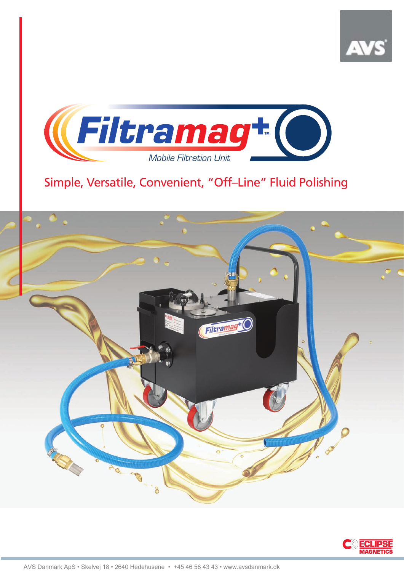



# Simple, Versatile, Convenient, "Off–Line" Fluid Polishing



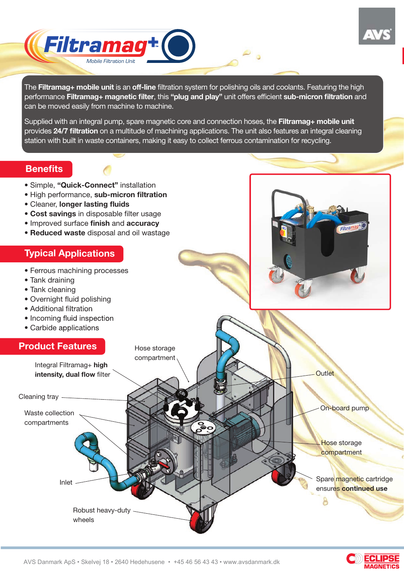The Filtramag+ mobile unit is an off-line filtration system for polishing oils and coolants. Featuring the high performance Filtramag+ magnetic filter, this "plug and play" unit offers efficient sub-micron filtration and can be moved easily from machine to machine.

+

Supplied with an integral pump, spare magnetic core and connection hoses, the Filtramag+ mobile unit provides 24/7 filtration on a multitude of machining applications. The unit also features an integral cleaning station with built in waste containers, making it easy to collect ferrous contamination for recycling.

ciltran

**ECLIPSE** 

### **Benefits**

- Simple, "Quick-Connect" installation
- High performance, sub-micron filtration

Mobile Filtration Unit

- Cleaner, longer lasting fluids
- Cost savings in disposable filter usage
- Improved surface finish and accuracy
- Reduced waste disposal and oil wastage

#### Typical Applications

- Ferrous machining processes
- Tank draining
- Tank cleaning
- Overnight fluid polishing
- Additional filtration
- Incoming fluid inspection
- Carbide applications



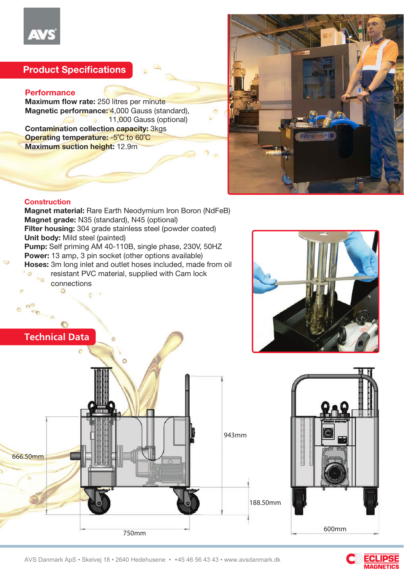

## Product Specifications

#### **Performance**

Maximum flow rate: 250 litres per minute Magnetic performance: 4,000 Gauss (standard), 11,000 Gauss (optional) Contamination collection capacity: 3kgs Operating temperature: -5˚C to 60˚C Maximum suction height: 12.9m



#### **Construction**







188.50mm